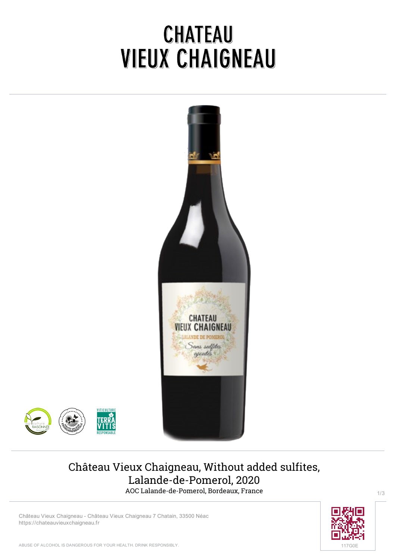# CHATEAU **VIEUX CHAIGNEAU**





## **Château Vieux Chaigneau, Without added sulfites, Lalande-de-Pomerol, 2020** AOC Lalande-de-Pomerol, Bordeaux, France

**Château Vieux Chaigneau** - Château Vieux Chaigneau 7 Chatain, 33500 Néac <https://chateauvieuxchaigneau.fr>



1/3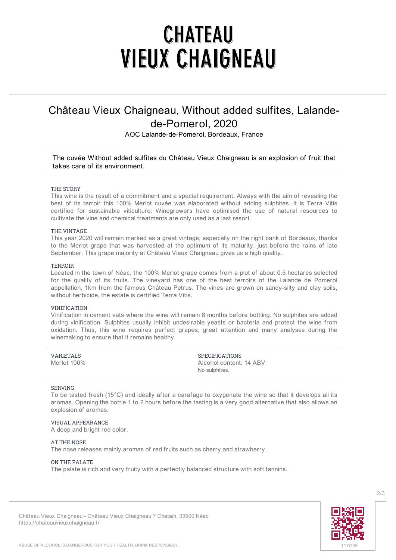# **CHATEAU VIEUX CHAIGNEAU**

## **Château Vieux Chaigneau, Without added sulfites, Lalandede-Pomerol, 2020**

AOC Lalande-de-Pomerol, Bordeaux, France

## *The cuvée Without added sulfites du Château Vieux Chaigneau is an explosion of fruit that takes care of its environment.*

#### **THE STORY**

This wine is the result of a commitment and a special requirement. Always with the aim of revealing the best of its terroir this 100% Merlot cuvée was elaborated without adding sulphites. It is Terra Vitis certified for sustainable viticulture: Winegrowers have optimised the use of natural resources to cultivate the vine and chemical treatments are only used as a last resort.

#### **THE VINTAGE**

This year 2020 will remain marked as a great vintage, especially on the right bank of Bordeaux, thanks to the Merlot grape that was harvested at the optimum of its maturity, just before the rains of late September. This grape majority at Château Vieux Chaigneau gives us a high quality.

#### **TERROIR**

Located in the town of Néac, the 100% Merlot grape comes from a plot of about 0.5 hectares selected for the quality of its fruits. The vineyard has one of the best terroirs of the Lalande de Pomerol appellation, 1km from the famous Château Petrus. The vines are grown on sandy-silty and clay soils, without herbicide, the estate is certified Terra Vitis.

#### **VINIFICATION**

Vinification in cement vats where the wine will remain 8 months before bottling. No sulphites are added during vinification. Sulphites usually inhibit undesirable yeasts or bacteria and protect the wine from oxidation. Thus, this wine requires perfect grapes, great attention and many analyses during the winemaking to ensure that it remains healthy.

| VARIETALS   | <b>SPECIFICATIONS</b>   |
|-------------|-------------------------|
| Merlot 100% | Alcohol content: 14 ABV |
|             | No sulphites.           |

#### **SERVING**

To be tasted fresh (15°C) and ideally after a carafage to oxygenate the wine so that it develops all its aromas. Opening the bottle 1 to 2 hours before the tasting is a very good alternative that also allows an explosion of aromas.

#### **VISUAL APPEARANCE**

A deep and bright red color.

### **AT THE NOSE**

The nose releases mainly aromas of red fruits such as cherry and strawberry.

### **ON THE PALATE**

The palate is rich and very fruity with a perfectly balanced structure with soft tannins.



**Château Vieux Chaigneau** - Château Vieux Chaigneau 7 Chatain, 33500 Néac <https://chateauvieuxchaigneau.fr>